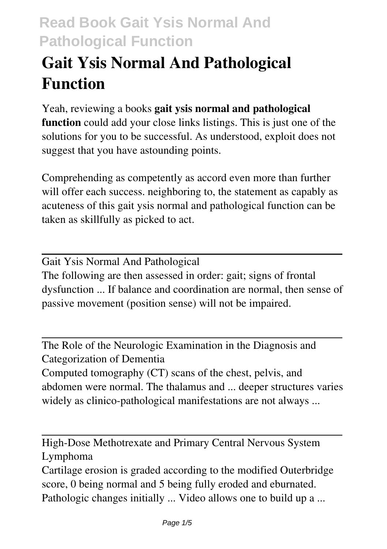# **Gait Ysis Normal And Pathological Function**

Yeah, reviewing a books **gait ysis normal and pathological function** could add your close links listings. This is just one of the solutions for you to be successful. As understood, exploit does not suggest that you have astounding points.

Comprehending as competently as accord even more than further will offer each success. neighboring to, the statement as capably as acuteness of this gait ysis normal and pathological function can be taken as skillfully as picked to act.

Gait Ysis Normal And Pathological The following are then assessed in order: gait; signs of frontal dysfunction ... If balance and coordination are normal, then sense of passive movement (position sense) will not be impaired.

The Role of the Neurologic Examination in the Diagnosis and Categorization of Dementia Computed tomography (CT) scans of the chest, pelvis, and abdomen were normal. The thalamus and ... deeper structures varies widely as clinico-pathological manifestations are not always ...

High-Dose Methotrexate and Primary Central Nervous System Lymphoma

Cartilage erosion is graded according to the modified Outerbridge score, 0 being normal and 5 being fully eroded and eburnated. Pathologic changes initially ... Video allows one to build up a ...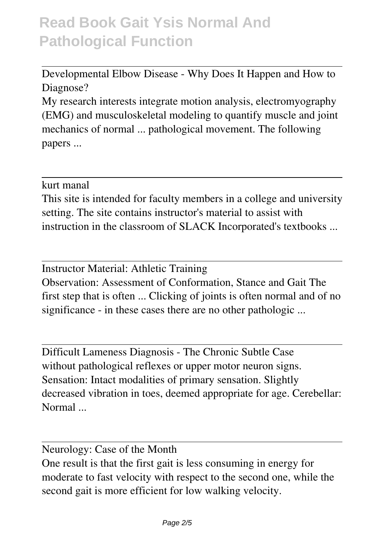Developmental Elbow Disease - Why Does It Happen and How to Diagnose?

My research interests integrate motion analysis, electromyography (EMG) and musculoskeletal modeling to quantify muscle and joint mechanics of normal ... pathological movement. The following papers ...

kurt manal

This site is intended for faculty members in a college and university setting. The site contains instructor's material to assist with instruction in the classroom of SLACK Incorporated's textbooks ...

Instructor Material: Athletic Training Observation: Assessment of Conformation, Stance and Gait The first step that is often ... Clicking of joints is often normal and of no significance - in these cases there are no other pathologic ...

Difficult Lameness Diagnosis - The Chronic Subtle Case without pathological reflexes or upper motor neuron signs. Sensation: Intact modalities of primary sensation. Slightly decreased vibration in toes, deemed appropriate for age. Cerebellar: Normal ...

Neurology: Case of the Month One result is that the first gait is less consuming in energy for moderate to fast velocity with respect to the second one, while the second gait is more efficient for low walking velocity.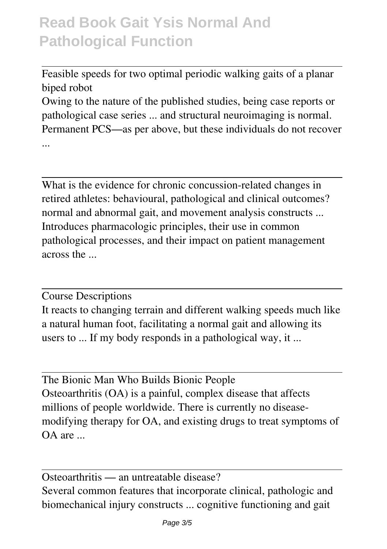Feasible speeds for two optimal periodic walking gaits of a planar biped robot

Owing to the nature of the published studies, being case reports or pathological case series ... and structural neuroimaging is normal. Permanent PCS—as per above, but these individuals do not recover ...

What is the evidence for chronic concussion-related changes in retired athletes: behavioural, pathological and clinical outcomes? normal and abnormal gait, and movement analysis constructs ... Introduces pharmacologic principles, their use in common pathological processes, and their impact on patient management across the ...

Course Descriptions

It reacts to changing terrain and different walking speeds much like a natural human foot, facilitating a normal gait and allowing its users to ... If my body responds in a pathological way, it ...

The Bionic Man Who Builds Bionic People Osteoarthritis (OA) is a painful, complex disease that affects millions of people worldwide. There is currently no diseasemodifying therapy for OA, and existing drugs to treat symptoms of OA are ...

Osteoarthritis — an untreatable disease? Several common features that incorporate clinical, pathologic and biomechanical injury constructs ... cognitive functioning and gait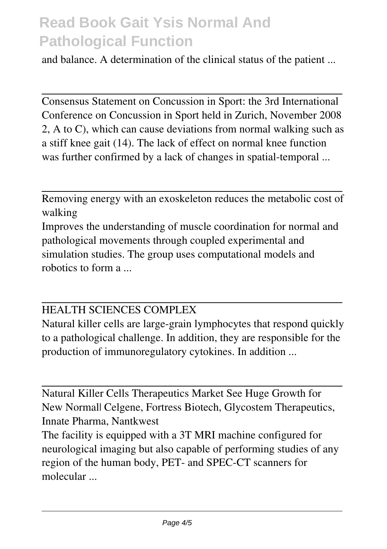and balance. A determination of the clinical status of the patient ...

Consensus Statement on Concussion in Sport: the 3rd International Conference on Concussion in Sport held in Zurich, November 2008 2, A to C), which can cause deviations from normal walking such as a stiff knee gait (14). The lack of effect on normal knee function was further confirmed by a lack of changes in spatial-temporal ...

Removing energy with an exoskeleton reduces the metabolic cost of walking

Improves the understanding of muscle coordination for normal and pathological movements through coupled experimental and simulation studies. The group uses computational models and robotics to form a ...

#### HEALTH SCIENCES COMPLEX

Natural killer cells are large-grain lymphocytes that respond quickly to a pathological challenge. In addition, they are responsible for the production of immunoregulatory cytokines. In addition ...

Natural Killer Cells Therapeutics Market See Huge Growth for New Normal| Celgene, Fortress Biotech, Glycostem Therapeutics, Innate Pharma, Nantkwest

The facility is equipped with a 3T MRI machine configured for neurological imaging but also capable of performing studies of any region of the human body, PET- and SPEC-CT scanners for molecular ...